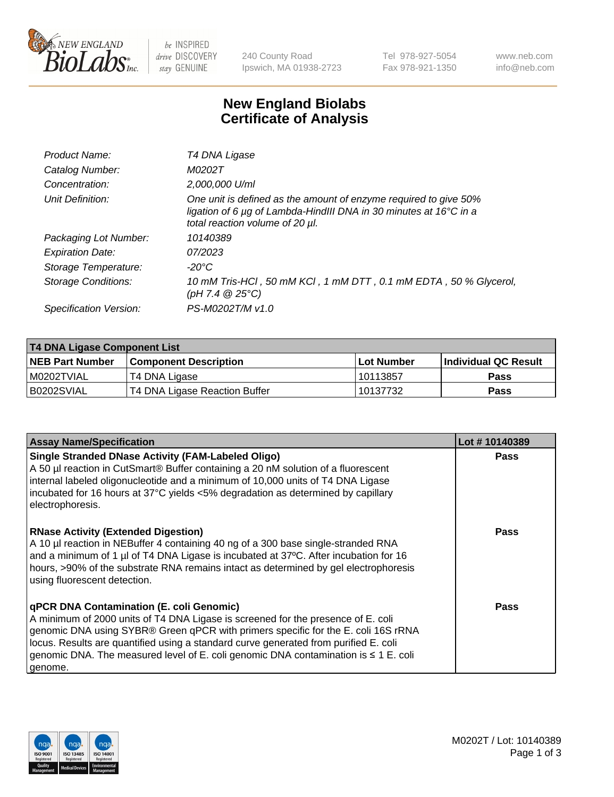

 $be$  INSPIRED drive DISCOVERY stay GENUINE

240 County Road Ipswich, MA 01938-2723 Tel 978-927-5054 Fax 978-921-1350 www.neb.com info@neb.com

## **New England Biolabs Certificate of Analysis**

| Product Name:           | T4 DNA Ligase                                                                                                                                                            |
|-------------------------|--------------------------------------------------------------------------------------------------------------------------------------------------------------------------|
| Catalog Number:         | M0202T                                                                                                                                                                   |
| Concentration:          | 2,000,000 U/ml                                                                                                                                                           |
| Unit Definition:        | One unit is defined as the amount of enzyme required to give 50%<br>ligation of 6 µg of Lambda-HindIII DNA in 30 minutes at 16°C in a<br>total reaction volume of 20 µl. |
| Packaging Lot Number:   | 10140389                                                                                                                                                                 |
| <b>Expiration Date:</b> | 07/2023                                                                                                                                                                  |
| Storage Temperature:    | -20°C                                                                                                                                                                    |
| Storage Conditions:     | 10 mM Tris-HCl, 50 mM KCl, 1 mM DTT, 0.1 mM EDTA, 50 % Glycerol,<br>(pH 7.4 $@25°C$ )                                                                                    |
| Specification Version:  | PS-M0202T/M v1.0                                                                                                                                                         |

| T4 DNA Ligase Component List |                               |              |                             |  |  |
|------------------------------|-------------------------------|--------------|-----------------------------|--|--|
| <b>NEB Part Number</b>       | l Component Description       | l Lot Number | <b>Individual QC Result</b> |  |  |
| I M0202TVIAL                 | T4 DNA Ligase                 | 10113857     | <b>Pass</b>                 |  |  |
| B0202SVIAL                   | T4 DNA Ligase Reaction Buffer | 10137732     | <b>Pass</b>                 |  |  |

| <b>Assay Name/Specification</b>                                                                                                                                                                                                                                                                                                                                                                             | Lot #10140389 |
|-------------------------------------------------------------------------------------------------------------------------------------------------------------------------------------------------------------------------------------------------------------------------------------------------------------------------------------------------------------------------------------------------------------|---------------|
| <b>Single Stranded DNase Activity (FAM-Labeled Oligo)</b><br>A 50 µl reaction in CutSmart® Buffer containing a 20 nM solution of a fluorescent<br>internal labeled oligonucleotide and a minimum of 10,000 units of T4 DNA Ligase<br>incubated for 16 hours at 37°C yields <5% degradation as determined by capillary<br>electrophoresis.                                                                   | <b>Pass</b>   |
| <b>RNase Activity (Extended Digestion)</b><br>A 10 µl reaction in NEBuffer 4 containing 40 ng of a 300 base single-stranded RNA<br>and a minimum of 1 µl of T4 DNA Ligase is incubated at 37°C. After incubation for 16<br>hours, >90% of the substrate RNA remains intact as determined by gel electrophoresis<br>using fluorescent detection.                                                             | <b>Pass</b>   |
| qPCR DNA Contamination (E. coli Genomic)<br>A minimum of 2000 units of T4 DNA Ligase is screened for the presence of E. coli<br>genomic DNA using SYBR® Green qPCR with primers specific for the E. coli 16S rRNA<br>locus. Results are quantified using a standard curve generated from purified E. coli<br>genomic DNA. The measured level of E. coli genomic DNA contamination is ≤ 1 E. coli<br>genome. | Pass          |

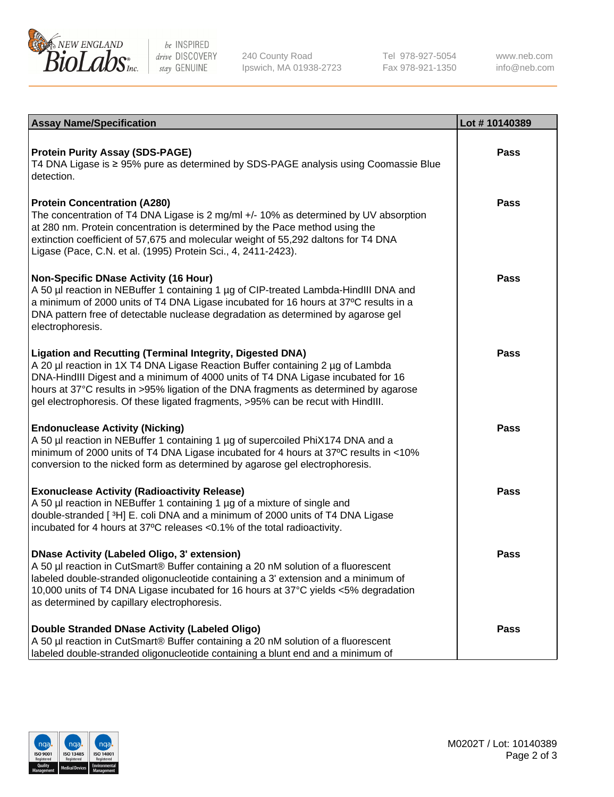

be INSPIRED drive DISCOVERY stay GENUINE

240 County Road Ipswich, MA 01938-2723 Tel 978-927-5054 Fax 978-921-1350

www.neb.com info@neb.com

| <b>Assay Name/Specification</b>                                                                                                                                                                                                                                                                                                                                                                             | Lot #10140389 |
|-------------------------------------------------------------------------------------------------------------------------------------------------------------------------------------------------------------------------------------------------------------------------------------------------------------------------------------------------------------------------------------------------------------|---------------|
| <b>Protein Purity Assay (SDS-PAGE)</b><br>T4 DNA Ligase is ≥ 95% pure as determined by SDS-PAGE analysis using Coomassie Blue<br>detection.                                                                                                                                                                                                                                                                 | <b>Pass</b>   |
| <b>Protein Concentration (A280)</b><br>The concentration of T4 DNA Ligase is 2 mg/ml +/- 10% as determined by UV absorption<br>at 280 nm. Protein concentration is determined by the Pace method using the<br>extinction coefficient of 57,675 and molecular weight of 55,292 daltons for T4 DNA<br>Ligase (Pace, C.N. et al. (1995) Protein Sci., 4, 2411-2423).                                           | <b>Pass</b>   |
| <b>Non-Specific DNase Activity (16 Hour)</b><br>A 50 µl reaction in NEBuffer 1 containing 1 µg of CIP-treated Lambda-HindIII DNA and<br>a minimum of 2000 units of T4 DNA Ligase incubated for 16 hours at 37°C results in a<br>DNA pattern free of detectable nuclease degradation as determined by agarose gel<br>electrophoresis.                                                                        | <b>Pass</b>   |
| Ligation and Recutting (Terminal Integrity, Digested DNA)<br>A 20 µl reaction in 1X T4 DNA Ligase Reaction Buffer containing 2 µg of Lambda<br>DNA-HindIII Digest and a minimum of 4000 units of T4 DNA Ligase incubated for 16<br>hours at 37°C results in >95% ligation of the DNA fragments as determined by agarose<br>gel electrophoresis. Of these ligated fragments, >95% can be recut with HindIII. | Pass          |
| <b>Endonuclease Activity (Nicking)</b><br>A 50 µl reaction in NEBuffer 1 containing 1 µg of supercoiled PhiX174 DNA and a<br>minimum of 2000 units of T4 DNA Ligase incubated for 4 hours at 37°C results in <10%<br>conversion to the nicked form as determined by agarose gel electrophoresis.                                                                                                            | <b>Pass</b>   |
| <b>Exonuclease Activity (Radioactivity Release)</b><br>A 50 µl reaction in NEBuffer 1 containing 1 µg of a mixture of single and<br>double-stranded [3H] E. coli DNA and a minimum of 2000 units of T4 DNA Ligase<br>incubated for 4 hours at 37°C releases <0.1% of the total radioactivity.                                                                                                               | <b>Pass</b>   |
| <b>DNase Activity (Labeled Oligo, 3' extension)</b><br>A 50 µl reaction in CutSmart® Buffer containing a 20 nM solution of a fluorescent<br>labeled double-stranded oligonucleotide containing a 3' extension and a minimum of<br>10,000 units of T4 DNA Ligase incubated for 16 hours at 37°C yields <5% degradation<br>as determined by capillary electrophoresis.                                        | <b>Pass</b>   |
| Double Stranded DNase Activity (Labeled Oligo)<br>A 50 µl reaction in CutSmart® Buffer containing a 20 nM solution of a fluorescent<br>labeled double-stranded oligonucleotide containing a blunt end and a minimum of                                                                                                                                                                                      | <b>Pass</b>   |